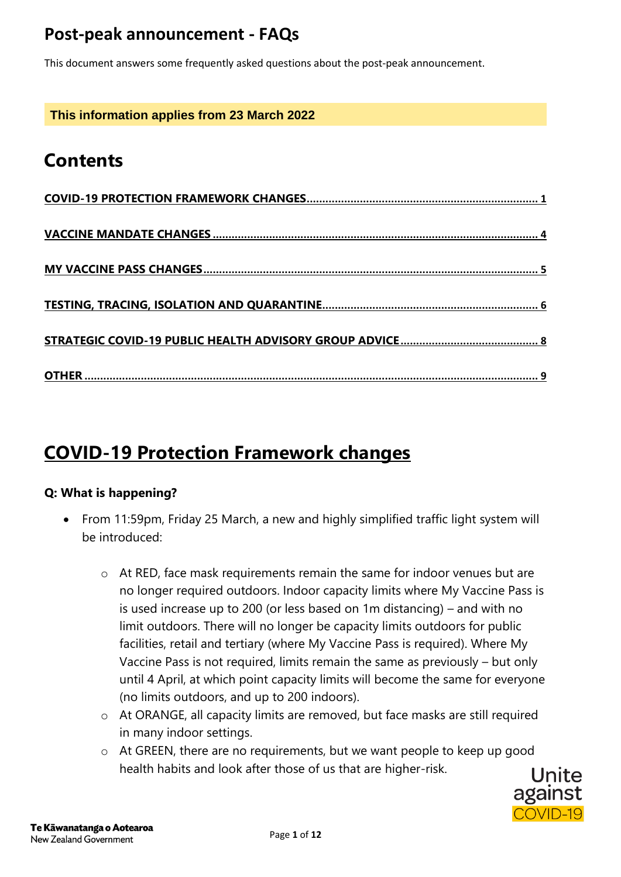This document answers some frequently asked questions about the post-peak announcement.

**This information applies from 23 March 2022**

# **Contents**

# <span id="page-0-0"></span>**COVID-19 Protection Framework changes**

#### **Q: What is happening?**

- From 11:59pm, Friday 25 March, a new and highly simplified traffic light system will be introduced:
	- o At RED, face mask requirements remain the same for indoor venues but are no longer required outdoors. Indoor capacity limits where My Vaccine Pass is is used increase up to 200 (or less based on 1m distancing) – and with no limit outdoors. There will no longer be capacity limits outdoors for public facilities, retail and tertiary (where My Vaccine Pass is required). Where My Vaccine Pass is not required, limits remain the same as previously – but only until 4 April, at which point capacity limits will become the same for everyone (no limits outdoors, and up to 200 indoors).
	- o At ORANGE, all capacity limits are removed, but face masks are still required in many indoor settings.
	- o At GREEN, there are no requirements, but we want people to keep up good health habits and look after those of us that are higher-risk.

COVID-19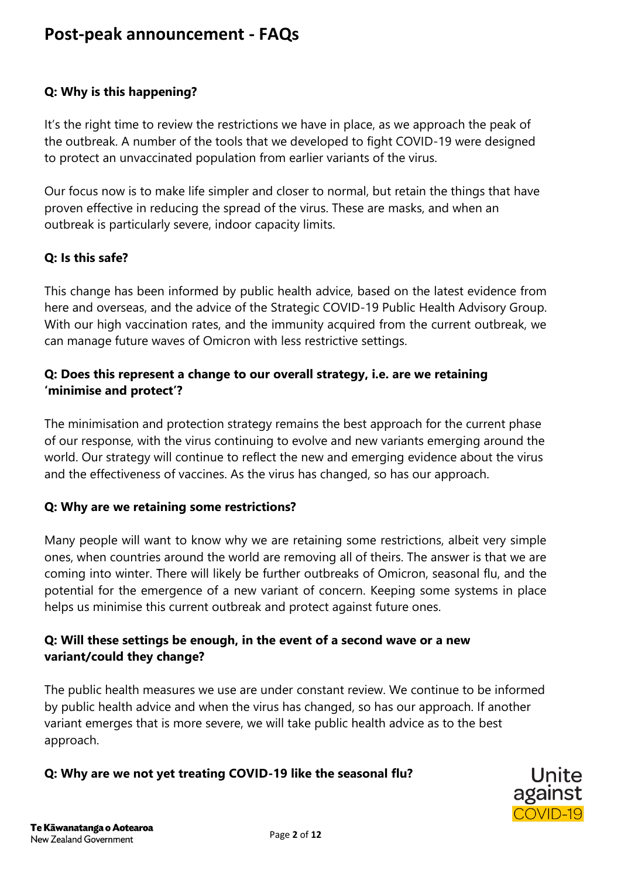#### **Q: Why is this happening?**

It's the right time to review the restrictions we have in place, as we approach the peak of the outbreak. A number of the tools that we developed to fight COVID-19 were designed to protect an unvaccinated population from earlier variants of the virus.

Our focus now is to make life simpler and closer to normal, but retain the things that have proven effective in reducing the spread of the virus. These are masks, and when an outbreak is particularly severe, indoor capacity limits.

#### **Q: Is this safe?**

This change has been informed by public health advice, based on the latest evidence from here and overseas, and the advice of the Strategic COVID-19 Public Health Advisory Group. With our high vaccination rates, and the immunity acquired from the current outbreak, we can manage future waves of Omicron with less restrictive settings.

#### **Q: Does this represent a change to our overall strategy, i.e. are we retaining 'minimise and protect'?**

The minimisation and protection strategy remains the best approach for the current phase of our response, with the virus continuing to evolve and new variants emerging around the world. Our strategy will continue to reflect the new and emerging evidence about the virus and the effectiveness of vaccines. As the virus has changed, so has our approach.

#### **Q: Why are we retaining some restrictions?**

Many people will want to know why we are retaining some restrictions, albeit very simple ones, when countries around the world are removing all of theirs. The answer is that we are coming into winter. There will likely be further outbreaks of Omicron, seasonal flu, and the potential for the emergence of a new variant of concern. Keeping some systems in place helps us minimise this current outbreak and protect against future ones.

#### **Q: Will these settings be enough, in the event of a second wave or a new variant/could they change?**

The public health measures we use are under constant review. We continue to be informed by public health advice and when the virus has changed, so has our approach. If another variant emerges that is more severe, we will take public health advice as to the best approach.

#### **Q: Why are we not yet treating COVID-19 like the seasonal flu?**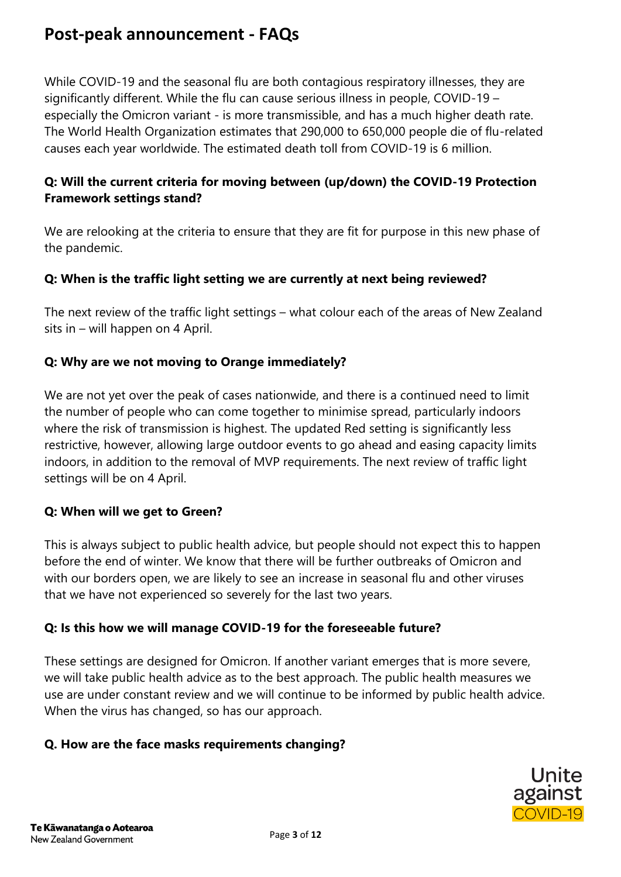While COVID-19 and the seasonal flu are both contagious respiratory illnesses, they are significantly different. While the flu can cause serious illness in people, COVID-19 – especially the Omicron variant - is more transmissible, and has a much higher death rate. The World Health Organization estimates that 290,000 to 650,000 people die of flu-related causes each year worldwide. The estimated death toll from COVID-19 is 6 million.

#### **Q: Will the current criteria for moving between (up/down) the COVID-19 Protection Framework settings stand?**

We are relooking at the criteria to ensure that they are fit for purpose in this new phase of the pandemic.

#### **Q: When is the traffic light setting we are currently at next being reviewed?**

The next review of the traffic light settings – what colour each of the areas of New Zealand sits in – will happen on 4 April.

#### **Q: Why are we not moving to Orange immediately?**

We are not yet over the peak of cases nationwide, and there is a continued need to limit the number of people who can come together to minimise spread, particularly indoors where the risk of transmission is highest. The updated Red setting is significantly less restrictive, however, allowing large outdoor events to go ahead and easing capacity limits indoors, in addition to the removal of MVP requirements. The next review of traffic light settings will be on 4 April.

#### **Q: When will we get to Green?**

This is always subject to public health advice, but people should not expect this to happen before the end of winter. We know that there will be further outbreaks of Omicron and with our borders open, we are likely to see an increase in seasonal flu and other viruses that we have not experienced so severely for the last two years.

#### **Q: Is this how we will manage COVID-19 for the foreseeable future?**

These settings are designed for Omicron. If another variant emerges that is more severe, we will take public health advice as to the best approach. The public health measures we use are under constant review and we will continue to be informed by public health advice. When the virus has changed, so has our approach.

#### **Q. How are the face masks requirements changing?**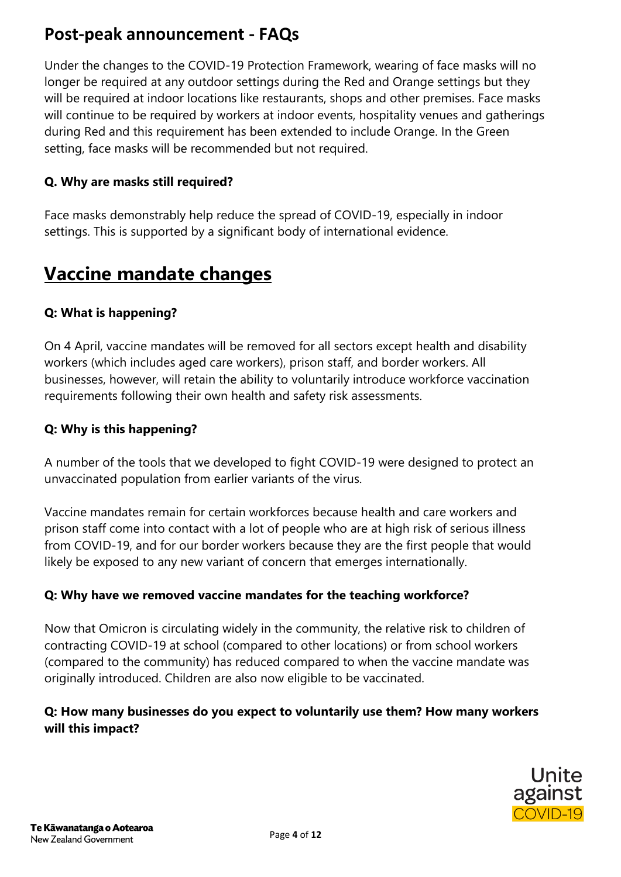Under the changes to the COVID-19 Protection Framework, wearing of face masks will no longer be required at any outdoor settings during the Red and Orange settings but they will be required at indoor locations like restaurants, shops and other premises. Face masks will continue to be required by workers at indoor events, hospitality venues and gatherings during Red and this requirement has been extended to include Orange. In the Green setting, face masks will be recommended but not required.

#### **Q. Why are masks still required?**

Face masks demonstrably help reduce the spread of COVID-19, especially in indoor settings. This is supported by a significant body of international evidence.

# <span id="page-3-0"></span>**Vaccine mandate changes**

#### **Q: What is happening?**

On 4 April, vaccine mandates will be removed for all sectors except health and disability workers (which includes aged care workers), prison staff, and border workers. All businesses, however, will retain the ability to voluntarily introduce workforce vaccination requirements following their own health and safety risk assessments.

#### **Q: Why is this happening?**

A number of the tools that we developed to fight COVID-19 were designed to protect an unvaccinated population from earlier variants of the virus.

Vaccine mandates remain for certain workforces because health and care workers and prison staff come into contact with a lot of people who are at high risk of serious illness from COVID-19, and for our border workers because they are the first people that would likely be exposed to any new variant of concern that emerges internationally.

#### **Q: Why have we removed vaccine mandates for the teaching workforce?**

Now that Omicron is circulating widely in the community, the relative risk to children of contracting COVID-19 at school (compared to other locations) or from school workers (compared to the community) has reduced compared to when the vaccine mandate was originally introduced. Children are also now eligible to be vaccinated.

#### **Q: How many businesses do you expect to voluntarily use them? How many workers will this impact?**

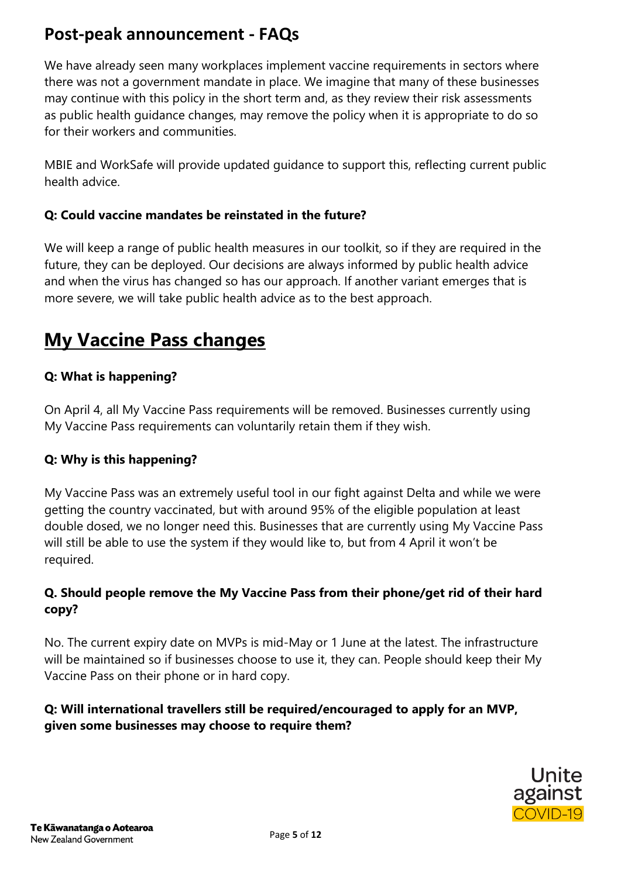We have already seen many workplaces implement vaccine requirements in sectors where there was not a government mandate in place. We imagine that many of these businesses may continue with this policy in the short term and, as they review their risk assessments as public health guidance changes, may remove the policy when it is appropriate to do so for their workers and communities.

MBIE and WorkSafe will provide updated guidance to support this, reflecting current public health advice.

#### **Q: Could vaccine mandates be reinstated in the future?**

We will keep a range of public health measures in our toolkit, so if they are required in the future, they can be deployed. Our decisions are always informed by public health advice and when the virus has changed so has our approach. If another variant emerges that is more severe, we will take public health advice as to the best approach.

# <span id="page-4-0"></span>**My Vaccine Pass changes**

#### **Q: What is happening?**

On April 4, all My Vaccine Pass requirements will be removed. Businesses currently using My Vaccine Pass requirements can voluntarily retain them if they wish.

#### **Q: Why is this happening?**

My Vaccine Pass was an extremely useful tool in our fight against Delta and while we were getting the country vaccinated, but with around 95% of the eligible population at least double dosed, we no longer need this. Businesses that are currently using My Vaccine Pass will still be able to use the system if they would like to, but from 4 April it won't be required.

#### **Q. Should people remove the My Vaccine Pass from their phone/get rid of their hard copy?**

No. The current expiry date on MVPs is mid-May or 1 June at the latest. The infrastructure will be maintained so if businesses choose to use it, they can. People should keep their My Vaccine Pass on their phone or in hard copy.

#### **Q: Will international travellers still be required/encouraged to apply for an MVP, given some businesses may choose to require them?**

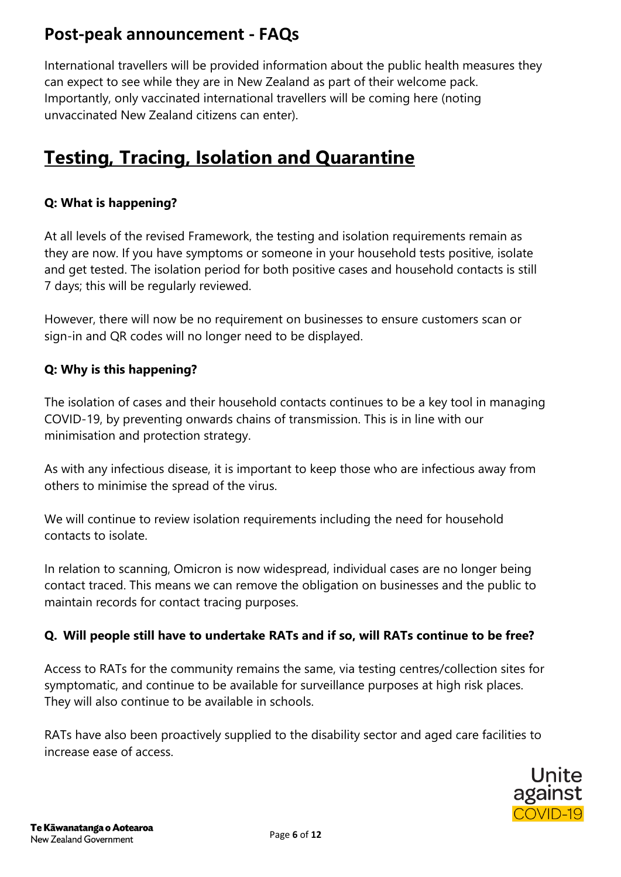International travellers will be provided information about the public health measures they can expect to see while they are in New Zealand as part of their welcome pack. Importantly, only vaccinated international travellers will be coming here (noting unvaccinated New Zealand citizens can enter).

# <span id="page-5-0"></span>**Testing, Tracing, Isolation and Quarantine**

#### **Q: What is happening?**

At all levels of the revised Framework, the testing and isolation requirements remain as they are now. If you have symptoms or someone in your household tests positive, isolate and get tested. The isolation period for both positive cases and household contacts is still 7 days; this will be regularly reviewed.

However, there will now be no requirement on businesses to ensure customers scan or sign-in and QR codes will no longer need to be displayed.

#### **Q: Why is this happening?**

The isolation of cases and their household contacts continues to be a key tool in managing COVID-19, by preventing onwards chains of transmission. This is in line with our minimisation and protection strategy.

As with any infectious disease, it is important to keep those who are infectious away from others to minimise the spread of the virus.

We will continue to review isolation requirements including the need for household contacts to isolate.

In relation to scanning, Omicron is now widespread, individual cases are no longer being contact traced. This means we can remove the obligation on businesses and the public to maintain records for contact tracing purposes.

#### **Q. Will people still have to undertake RATs and if so, will RATs continue to be free?**

Access to RATs for the community remains the same, via testing centres/collection sites for symptomatic, and continue to be available for surveillance purposes at high risk places. They will also continue to be available in schools.

RATs have also been proactively supplied to the disability sector and aged care facilities to increase ease of access.

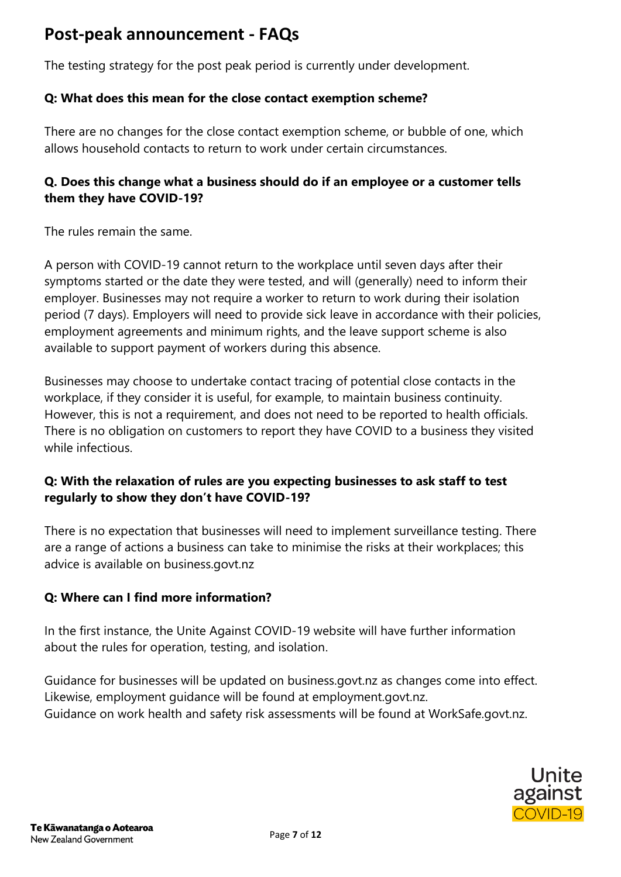The testing strategy for the post peak period is currently under development.

#### **Q: What does this mean for the close contact exemption scheme?**

There are no changes for the close contact exemption scheme, or bubble of one, which allows household contacts to return to work under certain circumstances.

#### **Q. Does this change what a business should do if an employee or a customer tells them they have COVID-19?**

The rules remain the same.

A person with COVID-19 cannot return to the workplace until seven days after their symptoms started or the date they were tested, and will (generally) need to inform their employer. Businesses may not require a worker to return to work during their isolation period (7 days). Employers will need to provide sick leave in accordance with their policies, employment agreements and minimum rights, and the leave support scheme is also available to support payment of workers during this absence.

Businesses may choose to undertake contact tracing of potential close contacts in the workplace, if they consider it is useful, for example, to maintain business continuity. However, this is not a requirement, and does not need to be reported to health officials. There is no obligation on customers to report they have COVID to a business they visited while infectious.

#### **Q: With the relaxation of rules are you expecting businesses to ask staff to test regularly to show they don't have COVID-19?**

There is no expectation that businesses will need to implement surveillance testing. There are a range of actions a business can take to minimise the risks at their workplaces; this advice is available on business.govt.nz

#### **Q: Where can I find more information?**

In the first instance, the Unite Against COVID-19 website will have further information about the rules for operation, testing, and isolation.

Guidance for businesses will be updated on business.govt.nz as changes come into effect. Likewise, employment guidance will be found at employment.govt.nz. Guidance on work health and safety risk assessments will be found at WorkSafe.govt.nz.

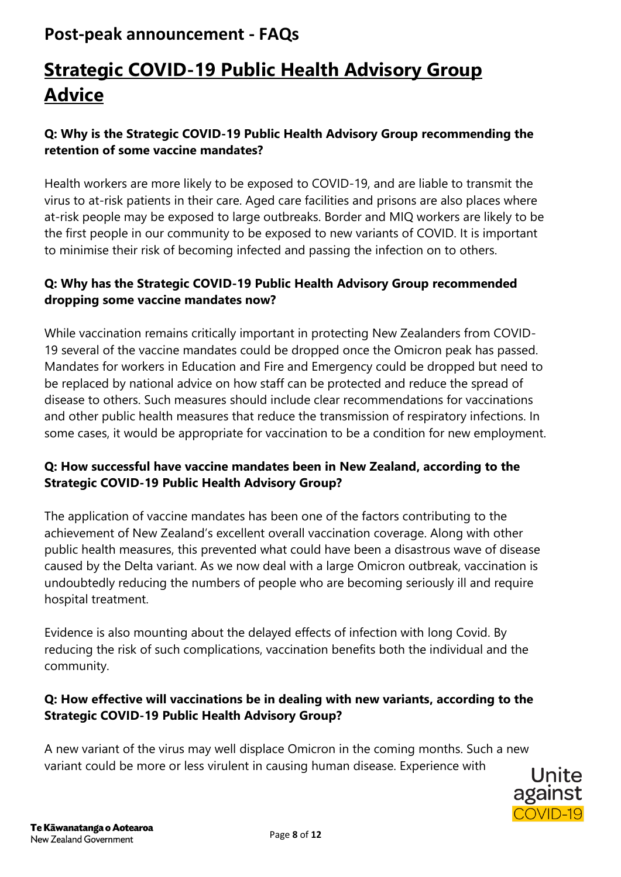# <span id="page-7-0"></span>**Strategic COVID-19 Public Health Advisory Group Advice**

#### **Q: Why is the Strategic COVID-19 Public Health Advisory Group recommending the retention of some vaccine mandates?**

Health workers are more likely to be exposed to COVID-19, and are liable to transmit the virus to at-risk patients in their care. Aged care facilities and prisons are also places where at-risk people may be exposed to large outbreaks. Border and MIQ workers are likely to be the first people in our community to be exposed to new variants of COVID. It is important to minimise their risk of becoming infected and passing the infection on to others.

#### **Q: Why has the Strategic COVID-19 Public Health Advisory Group recommended dropping some vaccine mandates now?**

While vaccination remains critically important in protecting New Zealanders from COVID-19 several of the vaccine mandates could be dropped once the Omicron peak has passed. Mandates for workers in Education and Fire and Emergency could be dropped but need to be replaced by national advice on how staff can be protected and reduce the spread of disease to others. Such measures should include clear recommendations for vaccinations and other public health measures that reduce the transmission of respiratory infections. In some cases, it would be appropriate for vaccination to be a condition for new employment.

#### **Q: How successful have vaccine mandates been in New Zealand, according to the Strategic COVID-19 Public Health Advisory Group?**

The application of vaccine mandates has been one of the factors contributing to the achievement of New Zealand's excellent overall vaccination coverage. Along with other public health measures, this prevented what could have been a disastrous wave of disease caused by the Delta variant. As we now deal with a large Omicron outbreak, vaccination is undoubtedly reducing the numbers of people who are becoming seriously ill and require hospital treatment.

Evidence is also mounting about the delayed effects of infection with long Covid. By reducing the risk of such complications, vaccination benefits both the individual and the community.

#### **Q: How effective will vaccinations be in dealing with new variants, according to the Strategic COVID-19 Public Health Advisory Group?**

A new variant of the virus may well displace Omicron in the coming months. Such a new variant could be more or less virulent in causing human disease. Experience with

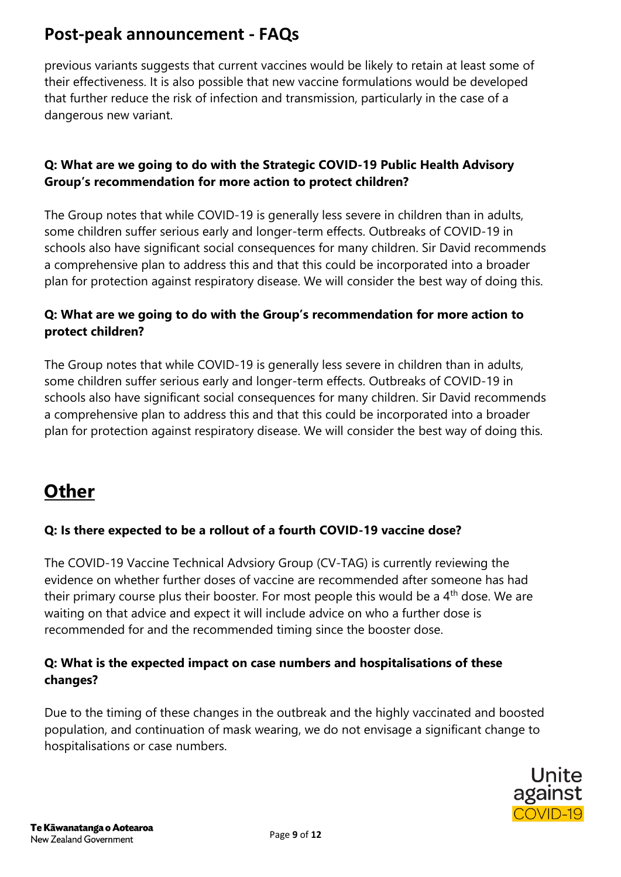previous variants suggests that current vaccines would be likely to retain at least some of their effectiveness. It is also possible that new vaccine formulations would be developed that further reduce the risk of infection and transmission, particularly in the case of a dangerous new variant.

#### **Q: What are we going to do with the Strategic COVID-19 Public Health Advisory Group's recommendation for more action to protect children?**

The Group notes that while COVID-19 is generally less severe in children than in adults, some children suffer serious early and longer-term effects. Outbreaks of COVID-19 in schools also have significant social consequences for many children. Sir David recommends a comprehensive plan to address this and that this could be incorporated into a broader plan for protection against respiratory disease. We will consider the best way of doing this.

#### **Q: What are we going to do with the Group's recommendation for more action to protect children?**

The Group notes that while COVID-19 is generally less severe in children than in adults, some children suffer serious early and longer-term effects. Outbreaks of COVID-19 in schools also have significant social consequences for many children. Sir David recommends a comprehensive plan to address this and that this could be incorporated into a broader plan for protection against respiratory disease. We will consider the best way of doing this.

# <span id="page-8-0"></span>**Other**

### **Q: Is there expected to be a rollout of a fourth COVID-19 vaccine dose?**

The COVID-19 Vaccine Technical Advsiory Group (CV-TAG) is currently reviewing the evidence on whether further doses of vaccine are recommended after someone has had their primary course plus their booster. For most people this would be a 4<sup>th</sup> dose. We are waiting on that advice and expect it will include advice on who a further dose is recommended for and the recommended timing since the booster dose.

#### **Q: What is the expected impact on case numbers and hospitalisations of these changes?**

Due to the timing of these changes in the outbreak and the highly vaccinated and boosted population, and continuation of mask wearing, we do not envisage a significant change to hospitalisations or case numbers.

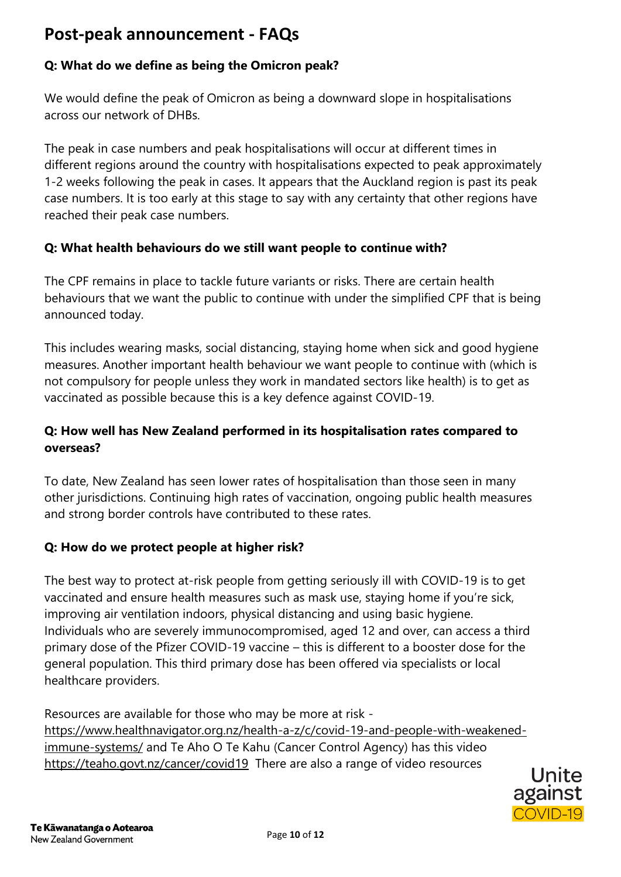### **Q: What do we define as being the Omicron peak?**

We would define the peak of Omicron as being a downward slope in hospitalisations across our network of DHBs.

The peak in case numbers and peak hospitalisations will occur at different times in different regions around the country with hospitalisations expected to peak approximately 1-2 weeks following the peak in cases. It appears that the Auckland region is past its peak case numbers. It is too early at this stage to say with any certainty that other regions have reached their peak case numbers.

### **Q: What health behaviours do we still want people to continue with?**

The CPF remains in place to tackle future variants or risks. There are certain health behaviours that we want the public to continue with under the simplified CPF that is being announced today.

This includes wearing masks, social distancing, staying home when sick and good hygiene measures. Another important health behaviour we want people to continue with (which is not compulsory for people unless they work in mandated sectors like health) is to get as vaccinated as possible because this is a key defence against COVID-19.

### **Q: How well has New Zealand performed in its hospitalisation rates compared to overseas?**

To date, New Zealand has seen lower rates of hospitalisation than those seen in many other jurisdictions. Continuing high rates of vaccination, ongoing public health measures and strong border controls have contributed to these rates.

### **Q: How do we protect people at higher risk?**

The best way to protect at-risk people from getting seriously ill with COVID-19 is to get vaccinated and ensure health measures such as mask use, staying home if you're sick, improving air ventilation indoors, physical distancing and using basic hygiene. Individuals who are severely immunocompromised, aged 12 and over, can access a third primary dose of the Pfizer COVID-19 vaccine – this is different to a booster dose for the general population. This third primary dose has been offered via specialists or local healthcare providers.

Resources are available for those who may be more at risk -

[https://www.healthnavigator.org.nz/health-a-z/c/covid-19-and-people-with-weakened](https://www.healthnavigator.org.nz/health-a-z/c/covid-19-and-people-with-weakened-immune-systems/)[immune-systems/](https://www.healthnavigator.org.nz/health-a-z/c/covid-19-and-people-with-weakened-immune-systems/) and Te Aho O Te Kahu (Cancer Control Agency) has this video <https://teaho.govt.nz/cancer/covid19> There are also a range of video resources

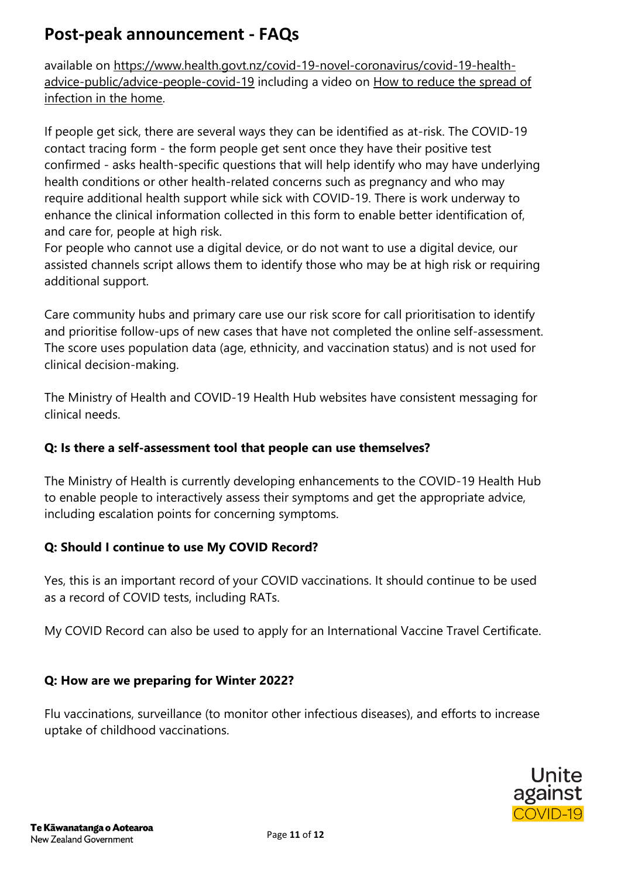available on [https://www.health.govt.nz/covid-19-novel-coronavirus/covid-19-health](https://www.health.govt.nz/covid-19-novel-coronavirus/covid-19-health-advice-public/advice-people-covid-19)[advice-public/advice-people-covid-19](https://www.health.govt.nz/covid-19-novel-coronavirus/covid-19-health-advice-public/advice-people-covid-19) including a video on [How to reduce the spread of](https://youtu.be/2zfcbeh59rk)  [infection in the home.](https://youtu.be/2zfcbeh59rk)

If people get sick, there are several ways they can be identified as at-risk. The COVID-19 contact tracing form - the form people get sent once they have their positive test confirmed - asks health-specific questions that will help identify who may have underlying health conditions or other health-related concerns such as pregnancy and who may require additional health support while sick with COVID-19. There is work underway to enhance the clinical information collected in this form to enable better identification of, and care for, people at high risk.

For people who cannot use a digital device, or do not want to use a digital device, our assisted channels script allows them to identify those who may be at high risk or requiring additional support.

Care community hubs and primary care use our risk score for call prioritisation to identify and prioritise follow-ups of new cases that have not completed the online self-assessment. The score uses population data (age, ethnicity, and vaccination status) and is not used for clinical decision-making.

The Ministry of Health and COVID-19 Health Hub websites have consistent messaging for clinical needs.

### **Q: Is there a self-assessment tool that people can use themselves?**

The Ministry of Health is currently developing enhancements to the COVID-19 Health Hub to enable people to interactively assess their symptoms and get the appropriate advice, including escalation points for concerning symptoms.

### **Q: Should I continue to use My COVID Record?**

Yes, this is an important record of your COVID vaccinations. It should continue to be used as a record of COVID tests, including RATs.

My COVID Record can also be used to apply for an International Vaccine Travel Certificate.

#### **Q: How are we preparing for Winter 2022?**

Flu vaccinations, surveillance (to monitor other infectious diseases), and efforts to increase uptake of childhood vaccinations.